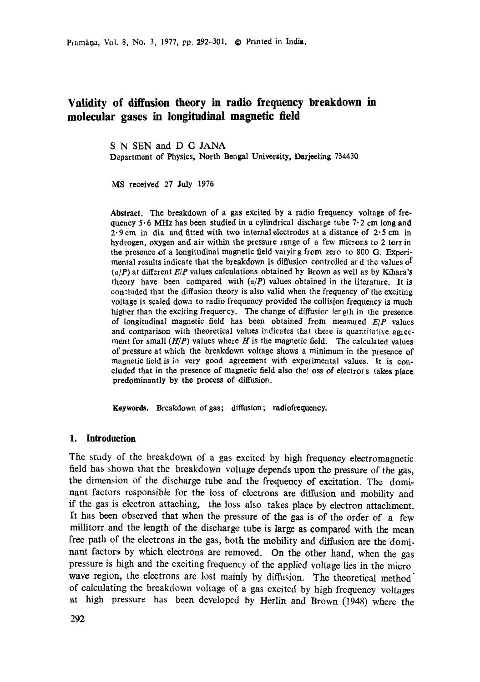Pramāna, Vol. 8, No. 3, 1977, pp. 292-301. @ Printed in India.

# **Validity of diffusion theory in radio frequency breakdown in molecular gases in longitudinal magnetic field**

S N SEN and D G JANA Department of Physics, North Bengal University, Darjeeling 734430

MS received 27 July 1976

**Abstract.** The breakdown of a gas excited by a radio frequency voltage of frequency  $5.6$  MHz has been studied in a cylindrical discharge tube  $7.2$  cm long and 2.9 cm in dia and fitted with two internal electrodes at a distance of 2.5 cm in hydrogen, oxygen and air within the pressure range of a few microns to 2 torr in the presence of a longitudinal magnetic field varyirg from zero to 800 G. Experimental results indicate that the breakdown is diffusion controlled ard the values of  $(a/P)$  at different  $E/P$  values calculations obtained by Brown as well as by Kihara's theory have been compared with  $(a/P)$  values obtained in the literature. It is concluded that the diffusion theory is also valid when the frequency of the exciting voltage is scaled down to radio frequency provided the collision frequency is much higher than the exciting frequency. The change of diffusion lergth in the presence of longitudinal magnetic field has been obtained from measured *E/P* values and comparison with theoretical values indicates that there is quantitative agreement for small  $(H/P)$  values where H is the magnetic field. The calculated values of pressure at which the breakdown voltage shows a minimum in the presence of magnetic field is in very good agreement with experimental values. It is coneluded that in the presence of magnetic field also the! oss of electrors takes place predominantly by the process of diffusion.

Keywards. Breakdown of gas; diffusion ; radiofrequency.

# **1. Introduction**

The study of the breakdown of a gas excited by high frequency electromagnetic field has shown that the breakdown voltage depends upon the pressure of the gas, the dimension of the discharge tube and the frequency of excitation. The dominant factors responsible for the loss of electrons are diffusion and mobility and if the gas is electron attaching, the loss also takes place by electron attachment. It has been observed that when the pressure of the gas is of the order of a few millitorr and the length of the discharge tube is large as compared with the mean free path of the electrons in the gas, both the mobility and diffusion are the dominant factors by which electrons are removed. On the other hand, when the gas pressure is high and the exciting frequency of the applied voltage lies in the micro wave region, the electrons are lost mainly by diffusion. The theoretical method of calculating the breakdown voltage of a gas excited by high frequency voltages at high pressure has been developed by Herlin and Brown (1948) where the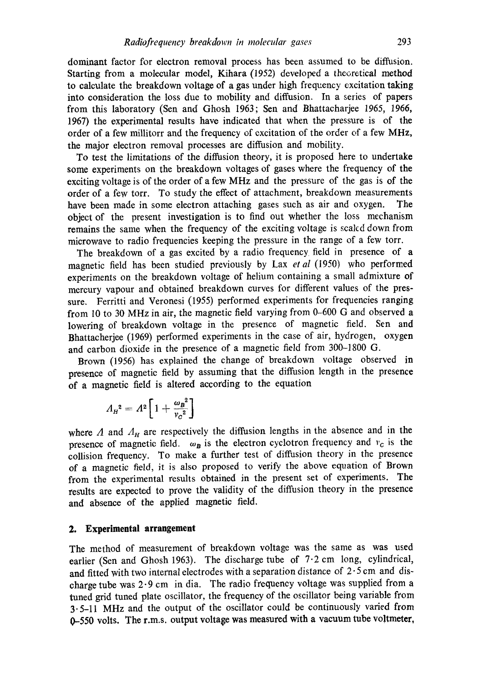dominant factor for electron removal process has been assumed to be diffusion. Starting from a molecular model, Kihara (1952) developed a theoretical method to calculate the breakdown voltage of a gas under high frequency excitation taking into consideration the loss due to mobility and diffusion. In a series of papers from this laboratory (Sen and Ghosh 1963; Sen and Bhattacharjee 1965, 1966, 1967) the experimental results have indicated that when the pressure is of the order of a few millitorr and the frequency of excitation of the order of a few MHz, the major electron removal processes are diffusion and mobility.

To test the limitations of the diffusion theory, it is proposed here to undertake some experiments on the breakdown voltages of gases where the frequency of the exciting voltage is of the order of a few MHz and the pressure of the gas is of the order of a few torr. To study the effect of attachment, breakdown measurements have been made in some electron attaching gases such as air and oxygen. The object of the present investigation is to find out whether the loss mechanism remains the same when the frequency of the exciting voltage is scaled down from microwave to radio frequencies keeping the pressure in the range of a few torr.

The breakdown of a gas excited by a radio frequency field in presence of a magnetic field has been studied previously by Lax *et al* (1950) who performed experiments on the breakdown voltage of helium containing a small admixture of mercury vapour and obtained breakdown curves for different values of the pressure. Ferritti and Veronesi (1955) performed experiments for frequencies ranging from 10 to 30 MHz in air, the magnetic field varying from 0-600 G and observed a lowering of breakdown voltage in the presence of magnetic field. Sen and Bhattacherjee (1969) performed experiments in the case of air, hydrogen, oxygen and carbon dioxide in the presence of a magnetic field from 300-1800 G.

Brown (1956) has explained the change of breakdown voltage observed in presence of magnetic field by assuming that the diffusion length in the presence of a magnetic field is altered according to the equation

$$
A_H{}^2 = A^2 \left[ 1 + \frac{\omega_B{}^2}{v_C{}^2} \right]
$$

where  $\Lambda$  and  $\Lambda_H$  are respectively the diffusion lengths in the absence and in the presence of magnetic field.  $\omega_B$  is the electron cyclotron frequency and  $v_C$  is the collision frequency. To make a further test of diffusion theory in the presence of a magnetic field, it is also proposed to verify the above equation of Brown from the experimental results obtained in the present set of experiments. The results are expected to prove the validity of the diffusion theory in the presence and absence of the applied magnetic field.

# **2. Experimental arrangement**

The method of measurement of breakdown voltage was the same as was used earlier (Sen and Ghosh 1963). The discharge tube of  $7.2$  cm long, cylindrical, and fitted with two internal electrodes with a separation distance of  $2.5 \text{ cm}$  and discharge tube was 2.9 cm in dia. The radio frequency voltage was supplied from a tuned grid tuned plate oscillator, the frequency of the oscillator being variable from 3.5-11 MHz and the output of the oscillator could be continuously varied from 0-550 volts. The r.m.s. output voltage was measured with a vacuum tube voltmeter,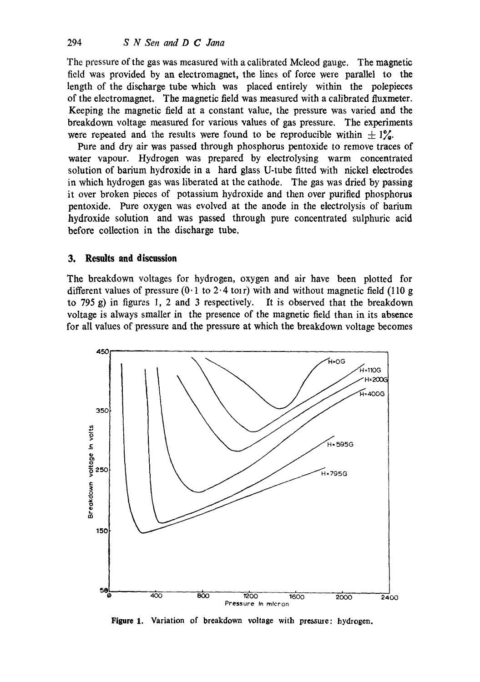The pressure of the gas was measured with a calibrated Mcleod gauge. The magnetic field was provided by an electromagnet, the lines of force were parallel to the length of the discharge tube which was placed entirely within the polepieces of the electromagnet. The magnetic field was measured with a calibrated fluxmeter. Keeping the magnetic field at a constant value, the pressure was varied and the breakdown voltage measured for various values of gas pressure. The experiments were repeated and the results were found to be reproducible within  $\pm 1\%$ .

Pure and dry air was passed through phosphorus pentoxide to remove traces of **water** vapour. Hydrogen was prepared by electrolysing warm concentrated solution of barium hydroxide in a hard glass U-tube fitted with nickel electrodes in which hydrogen gas was liberated at the cathode. The gas was dried by passing it over broken pieces of potassium hydroxide and then over purified phosphorus pentoxide. Pure oxygen was evolved at the anode in the electrolysis of barium hydroxide solution and was passed through pure concentrated sulphurie acid before collection in the discharge tube.

## **3. Results and discussion**

The breakdown voltages for hydrogen, oxygen and air have been plotted for different values of pressure  $(0.1 \text{ to } 2.4 \text{ torr})$  with and without magnetic field (110 g to 795 g) in figures l, 2 and 3 respectively. It is observed that the breakdown voltage is always smaller in the presence of the magnetic field than in its absence for all values of pressure and the pressure at which the breakdown voltage becomes



**Figure 1. Variation of breakdown voltage with pressure: hydrogen.**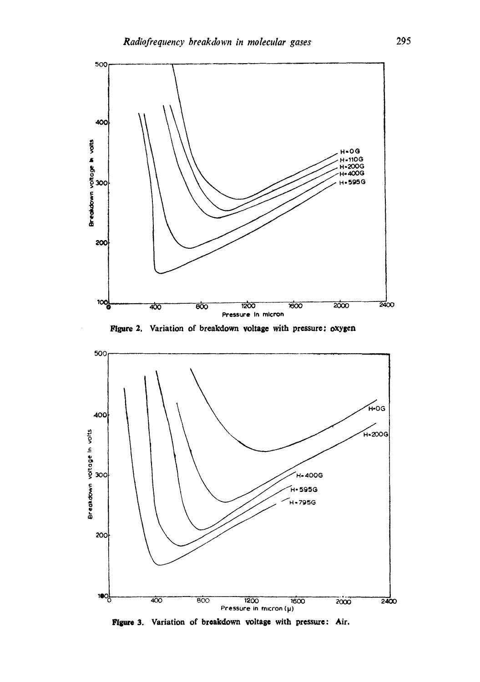

**Figure 2. Variation of breakdown voltage with pressure: oxygen** 



Figure 3. Variation of breakdown voltage with pressure: Air.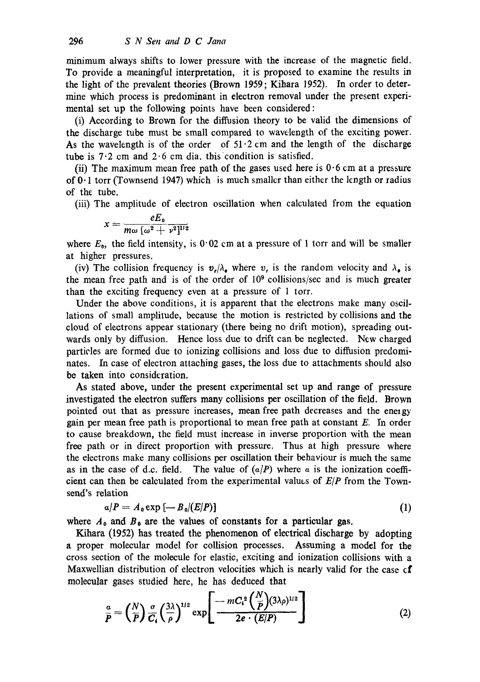minimum always shifts to lower pressure with the increase of the magnetic field. To provide a meaningful interpretation, it is proposed to examine the results in the light of the prevalent theories (Brown 1959; Kihara 1952). In order to determine which process is predominant in electron removal under the present experimental set up the following points have been considered:

(i) According to Brown for the diffusion theory to be valid the dimensions of the discharge tube must be small compared to wavelength of the exciting power. As the wavelength is of the order of  $51.2 \text{ cm}$  and the length of the discharge tube is  $7.2$  cm and  $2.6$  cm dia. this condition is satisfied.

(ii) The maximum mean free path of the gases used here is  $0.6$  cm at a pressure of  $0 \cdot 1$  torr (Townsend 1947) which is much smaller than either the length or radius of the tube.

(iii) The amplitude of electron oscillation when calculated from the equation

$$
x=\frac{eE_0}{m\omega\left[\omega^2+\nu^2\right]^{1/2}}
$$

where  $E_0$ , the field intensity, is 0.02 cm at a pressure of 1 torr and will be smaller at higher pressures.

(iv) The collision frequency is  $v_r/\lambda_e$  where  $v_r$  is the random velocity and  $\lambda_e$  is the mean free path and is of the order of  $10<sup>9</sup>$  collisions/sec and is much greater than the exciting frequency even at a pressure of 1 torr.

Under the above conditions, it is apparent that the electrons make many oscillations of small amplitude, because the motion is restricted by collisions and the cloud of electrons appear stationary (there being no drift motion), spreading outwards only by diffusion. Hence loss due to drift can be neglected. New charged particles are formed due to ionizing collisions and loss due to diffusion predominates. In case of electron attaching gases, the loss due to attachments should also be taken into consideration.

As stated above, under the present experimental set up and range of pressure investigated the electron suffers many collisions per oscillation of the field. Brown pointed out that as pressure increases, mean free path decreases and the energy gain per mean free path is proportional to mean free path at constant E. In order to cause breakdown, the field must increase in inverse proportion with the mean free path or in direct proportion with pressure. Thus at high pressure where the electrons make many collisions per oscillation their behaviour is much the same as in the case of d.c. field. The value of  $(a/P)$  where a is the ionization coefficient can then be calculated from the experimental values of *E/P* from the Townsend's relation

$$
\alpha/P = A_0 \exp \left[ -B_0/(E/P) \right] \tag{1}
$$

where  $A_0$  and  $B_0$  are the values of constants for a particular gas.

Kihara (1952) has treated the phenomenon of electrical discharge by adopting a proper molecular model for collision processes. Assuming a model for the cross section of the molecule for elastic, exciting and ionization collisions with a Maxwellian distribution of electron velocities which is nearly valid for the case cf molecular gases studied here, he has deduced that

$$
\frac{a}{P} = \left(\frac{N}{P}\right) \frac{\sigma}{C_1} \left(\frac{3\lambda}{\rho}\right)^{1/2} \exp\left[\frac{-mC_1^2\left(\frac{N}{P}\right)(3\lambda \rho)^{1/2}}{2e \cdot (E/P)}\right]
$$
(2)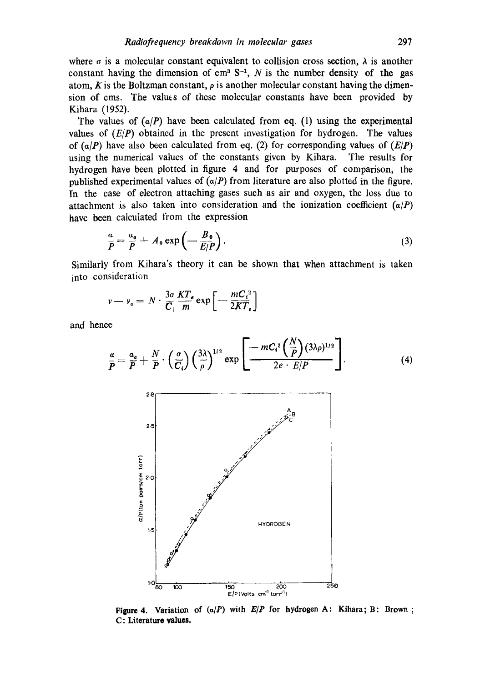where  $\sigma$  is a molecular constant equivalent to collision cross section,  $\lambda$  is another constant having the dimension of  $cm^3 S^{-1}$ , N is the number density of the gas atom, K is the Boltzman constant,  $\rho$  is another molecular constant having the dimension of cms. The values of these molecular constants have been provided by Kihara (1952).

The values of  $(a/P)$  have been calculated from eq. (1) using the experimental values of *(E/P)* obtained in the present investigation for hydrogen. The values of  $(a/P)$  have also been calculated from eq. (2) for corresponding values of  $(E/P)$ using the numerical values of the constants given by Kihara. The results for hydrogen have been plotted in figure 4 and for purposes of comparison, the published experimental values of  $(a/P)$  from literature are also plotted in the figure. In the case of electron attaching gases such as air and oxygen, the loss due to attachment is also taken into consideration and the ionization coefficient  $(a/P)$ have been calculated from the expression

$$
\frac{a}{P} = \frac{a_o}{P} + A_o \exp\left(-\frac{B_o}{E/P}\right). \tag{3}
$$

Similarly from Kihara's theory it can be shown that when attachment is taken into consideration

$$
v - v_{a} = N \cdot \frac{3\sigma}{C_{i}} \frac{KT_{s}}{m} \exp \left[-\frac{mC_{i}^{2}}{2KT_{e}}\right]
$$

and hence

$$
\frac{a}{P} = \frac{a_a}{P} + \frac{N}{P} \cdot \left(\frac{\sigma}{C_i}\right) \left(\frac{3\lambda}{\rho}\right)^{1/2} \exp\left[\frac{-mC_i^2 \left(\frac{N}{P}\right) (3\lambda \rho)^{1/2}}{2e \cdot E/P}\right].
$$
\n(4)



**Figure 4.** Variation of  $(a/P)$  with  $E/P$  for hydrogen A: Kihara; B: Brown; **C: Literature values.**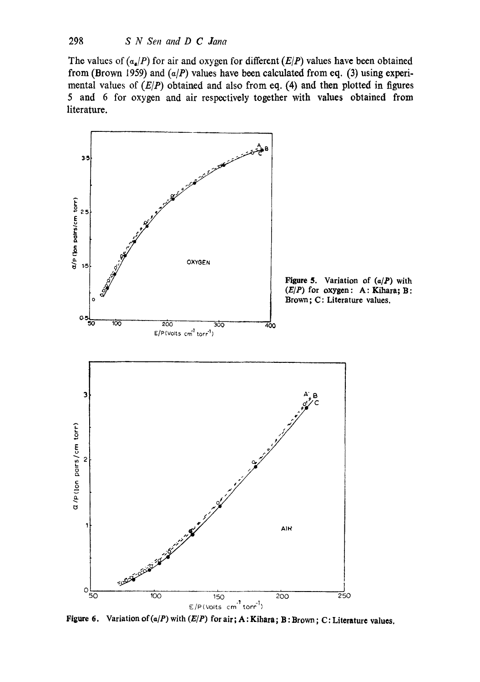The values of  $(a_a/P)$  for air and oxygen for different  $(E/P)$  values have been obtained **from (Brown 1959) and** *(a/P)* **values have been calculated from eq. (3) using experimental values of** *(E/P)* **obtained and also from eq. (4) and then plotted in figures 5 and 6 for oxygen and air respectively together with values obtained from literature.** 



**Figure 6. Variation of (a/P) with** *(E/P)* **for air; A: Kihara; B: Brown ; C: Literature values.**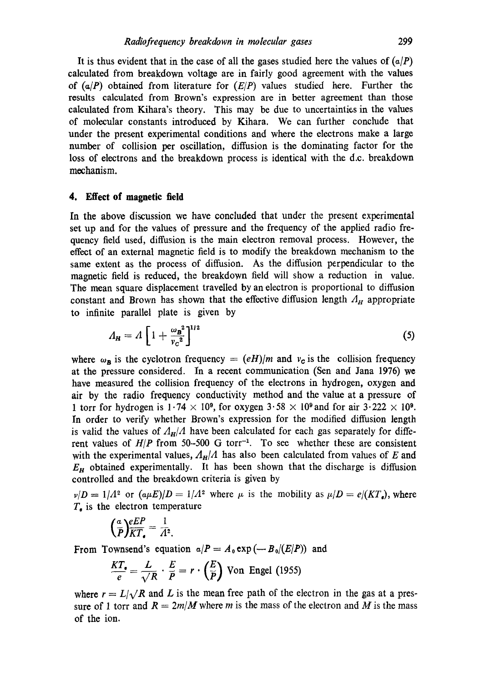It is thus evident that in the case of all the gases studied here the values of  $(a/P)$ calculated from breakdown voltage are in fairly good agreement with the values of  $(a/P)$  obtained from literature for  $(E/P)$  values studied here. Further the results calculated from Brown's expression are in better agreement than those calculated from Kihara's theory. This may be due to uncertainties in the values of molecular constants introduced by Kihara. We can further conclude that under the present experimental conditions and where the electrons make a large number of collision per oscillation, diffusion is the dominating factor for the loss of electrons and the breakdown process is identical with the d.c. breakdown mechanism.

### **4. Effect of magnetic field**

In the above discussion we have concluded that under the present experimental set up and for the values of pressure and tho frequency of the applied radio frequency field used, diffusion is the main electron removal process. However, the effect of an external magnetic field is to modify the breakdown mechanism to the same extent as the process of diffusion. As the diffusion perpendicular to the magnetic field is reduced, the breakdown field will show a reduction in value. The mean square displacement travelled by an electron is proportional to diffusion constant and Brown has shown that the effective diffusion length  $A_H$  appropriate to infinite parallel plate is given by

$$
A_{\mathbf{H}} = A \left[ 1 + \frac{\omega_{\mathbf{B}}^2}{v_c^2} \right]^{1/2} \tag{5}
$$

where  $\omega_B$  is the cyclotron frequency  $= (eH)/m$  and  $v_C$  is the collision frequency at the pressure considered. In a recent communication (Sen and Jana 1976) we have measured the collision frequency of the electrons in hydrogen, oxygen and air by the radio frequency conductivity method and the value at a pressure of 1 torr for hydrogen is  $1.74 \times 10^9$ , for oxygen  $3.58 \times 10^9$  and for air  $3.222 \times 10^9$ . In order to verify whether Brown's expression for the modified diffusion length is valid the values of  $A_H/A$  have been calculated for each gas separately for different values of  $H/P$  from 50-500 G torr<sup>-1</sup>. To see whether these are consistent with the experimental values,  $A_H/A$  has also been calculated from values of E and *En* obtained experimentally. It has been shown that the discharge is diffusion controlled and the breakdown criteria is given by

 $\nu/D = 1/A^2$  or  $(a\mu E)/D = 1/A^2$  where  $\mu$  is the mobility as  $\mu/D = e/(KT_e)$ , where  $T_e$  is the electron temperature

$$
\left(\frac{a}{P}\right)\frac{eEP}{KT_{\bullet}}=\frac{1}{A^2}.
$$

From Townsend's equation  $a/P = A_0 \exp(-B_0/(E/P))$  and

$$
\frac{KT_{\bullet}}{e} = \frac{L}{\sqrt{R}} \cdot \frac{E}{\overline{P}} = r \cdot \left(\frac{E}{\overline{P}}\right)
$$
 Von Engel (1955)

where  $r = L/\sqrt{R}$  and L is the mean free path of the electron in the gas at a pressure of 1 torr and  $R = 2m/M$  where m is the mass of the electron and M is the mass of the ion.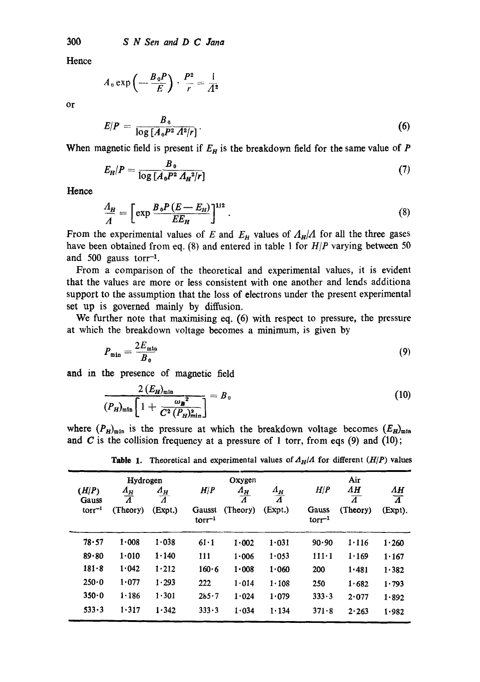Hence

$$
A_0 \exp\left(-\frac{B_0 P}{E}\right) \cdot \frac{P^2}{r} = \frac{1}{A^2}
$$

or

$$
E/P = \frac{B_0}{\log\left[A_0 P^2 A^2/r\right]}.
$$
 (6)

When magnetic field is present if  $E_H$  is the breakdown field for the same value of  $P$ 

$$
E_H/P = \frac{B_0}{\log\left[A_0 P^2 A_H^2/r\right]}
$$
 (7)

**Hence** 

$$
\frac{A_H}{A} = \left[ \exp \frac{B_0 P (E - E_H)}{E E_H} \right]^{1/2} . \tag{8}
$$

From the experimental values of E and  $E_B$  values of  $A_H/A$  for all the three gases have been obtained from eq. (8) and entered in table 1 for *HIP* varying between 50 and 500 gauss tor $r^{-1}$ .

From a comparison of the theoretical and experimental values, it is evident that the values are more or less consistent with one another and lends additiona support to the assumption that the loss of electrons under the present experimental set up is governed mainly by diffusion.

We further note that maximising eq. (6) with respect to pressure, the pressure at which the breakdown voltage becomes a minimum, is given by

$$
P_{\min} = \frac{2E_{\min}}{B_0} \tag{9}
$$

and in the presence of magnetic field

$$
\frac{2 (E_H)_{\min}}{(P_H)_{\min} \left[ 1 + \frac{\omega_B^2}{C^2 (P_H)_{\min}^2} \right]} = B_0
$$
\n(10)

where  $(P_H)_{\text{min}}$  is the pressure at which the breakdown voltage becomes  $(E_H)_{\text{min}}$ and  $C$  is the collision frequency at a pressure of 1 torr, from eqs (9) and (10);

| (H/P)<br>Gauss<br>$torr^{-1}$ | Hydrogen<br>$\frac{A_H}{A}$<br>(Theory) | $A_H$<br>$\overline{\overline{A}}$<br>(Expt.) | H/P<br>Gausst | Oxygen<br>$\varLambda_{H}$<br>$\vec{A}$<br>(Theory) | $\frac{A_H}{A}$<br>(Expt.) | H/P<br>Gauss     | Air<br>ΛН<br>$\overline{\varLambda}$<br>(Theory) | AН<br>$\overline{\Lambda}$<br>(Expt). |
|-------------------------------|-----------------------------------------|-----------------------------------------------|---------------|-----------------------------------------------------|----------------------------|------------------|--------------------------------------------------|---------------------------------------|
|                               |                                         |                                               | $torr^{-1}$   |                                                     |                            | $\rm{torr}^{-1}$ |                                                  |                                       |
| 78.57                         | 1.008                                   | 1.038                                         | $61 \cdot 1$  | 1.002                                               | 1.031                      | 90.90            | 1.116                                            | 1.260                                 |
| 89.80                         | 1.010                                   | 1.140                                         | 111           | $1 - 006$                                           | 1.053                      | $111 - 1$        | 1.169                                            | 1.167                                 |
| 181.8                         | 1.042                                   | 1.212                                         | 160.6         | 1.008                                               | 1.060                      | 200              | 1.481                                            | 1.382                                 |
| 250.0                         | 1.077                                   | 1.293                                         | 222           | 1.014                                               | 1.108                      | 250              | 1.682                                            | 1.793                                 |
| 350.0                         | 1.186                                   | $1 - 301$                                     | 2b5.7         | 1.024                                               | 1.079                      | 333.3            | 2.077                                            | 1.892                                 |
| 533.3                         | 1.317                                   | 1.342                                         | 333.3         | 1.034                                               | 1.134                      | 371.8            | 2.263                                            | 1.982                                 |

**Table 1.** Theoretical and experimental values of  $A_H/A$  for different  $(H/P)$  values